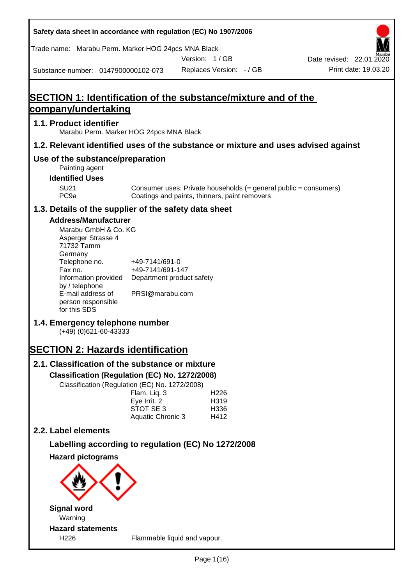| Safety data sheet in accordance with regulation (EC) No 1907/2006                                                                                                                                                                                                                                                                           |                                                                                    |               |                                          |                                                                  |
|---------------------------------------------------------------------------------------------------------------------------------------------------------------------------------------------------------------------------------------------------------------------------------------------------------------------------------------------|------------------------------------------------------------------------------------|---------------|------------------------------------------|------------------------------------------------------------------|
| Trade name: Marabu Perm. Marker HOG 24pcs MNA Black                                                                                                                                                                                                                                                                                         |                                                                                    |               |                                          |                                                                  |
| Substance number: 0147900000102-073                                                                                                                                                                                                                                                                                                         |                                                                                    | Version: 1/GB | Replaces Version: - / GB                 | Date revised: 22.01.2020<br>Print date: 19.03.20                 |
|                                                                                                                                                                                                                                                                                                                                             |                                                                                    |               |                                          |                                                                  |
| <b>SECTION 1: Identification of the substance/mixture and of the</b>                                                                                                                                                                                                                                                                        |                                                                                    |               |                                          |                                                                  |
| <u>company/undertaking</u>                                                                                                                                                                                                                                                                                                                  |                                                                                    |               |                                          |                                                                  |
| 1.1. Product identifier<br>Marabu Perm. Marker HOG 24pcs MNA Black                                                                                                                                                                                                                                                                          |                                                                                    |               |                                          |                                                                  |
| 1.2. Relevant identified uses of the substance or mixture and uses advised against                                                                                                                                                                                                                                                          |                                                                                    |               |                                          |                                                                  |
| Use of the substance/preparation<br>Painting agent                                                                                                                                                                                                                                                                                          |                                                                                    |               |                                          |                                                                  |
| <b>Identified Uses</b><br><b>SU21</b>                                                                                                                                                                                                                                                                                                       |                                                                                    |               |                                          | Consumer uses: Private households (= general public = consumers) |
| PC <sub>9a</sub>                                                                                                                                                                                                                                                                                                                            | Coatings and paints, thinners, paint removers                                      |               |                                          |                                                                  |
| 1.3. Details of the supplier of the safety data sheet                                                                                                                                                                                                                                                                                       |                                                                                    |               |                                          |                                                                  |
| <b>Address/Manufacturer</b><br>Marabu GmbH & Co. KG<br>Asperger Strasse 4<br>71732 Tamm<br>Germany<br>Telephone no.<br>Fax no.<br>Information provided<br>by / telephone<br>E-mail address of<br>person responsible<br>for this SDS<br>1.4. Emergency telephone number<br>(+49) (0)621-60-43333<br><b>SECTION 2: Hazards identification</b> | +49-7141/691-0<br>+49-7141/691-147<br>Department product safety<br>PRSI@marabu.com |               |                                          |                                                                  |
| 2.1. Classification of the substance or mixture<br>Classification (Regulation (EC) No. 1272/2008)                                                                                                                                                                                                                                           |                                                                                    |               |                                          |                                                                  |
| Classification (Regulation (EC) No. 1272/2008)                                                                                                                                                                                                                                                                                              | Flam. Liq. 3<br>Eye Irrit. 2<br>STOT SE 3<br>Aquatic Chronic 3                     |               | H <sub>226</sub><br>H319<br>H336<br>H412 |                                                                  |
| 2.2. Label elements                                                                                                                                                                                                                                                                                                                         |                                                                                    |               |                                          |                                                                  |
| Labelling according to regulation (EC) No 1272/2008                                                                                                                                                                                                                                                                                         |                                                                                    |               |                                          |                                                                  |
| <b>Hazard pictograms</b>                                                                                                                                                                                                                                                                                                                    |                                                                                    |               |                                          |                                                                  |
|                                                                                                                                                                                                                                                                                                                                             |                                                                                    |               |                                          |                                                                  |
| <b>Signal word</b><br>Warning                                                                                                                                                                                                                                                                                                               |                                                                                    |               |                                          |                                                                  |
| <b>Hazard statements</b><br>H226                                                                                                                                                                                                                                                                                                            | Flammable liquid and vapour.                                                       |               |                                          |                                                                  |
|                                                                                                                                                                                                                                                                                                                                             |                                                                                    |               |                                          |                                                                  |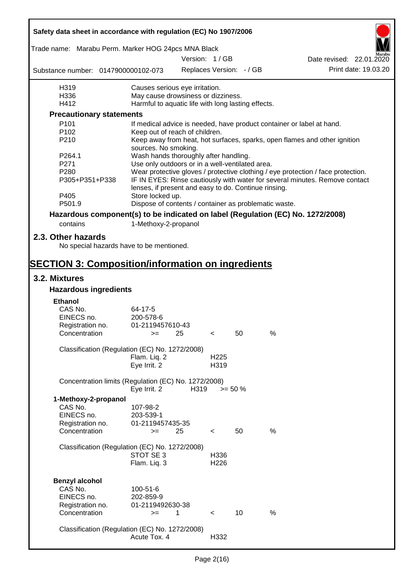| Safety data sheet in accordance with regulation (EC) No 1907/2006 |                                                       |      |                          |                          |                                                                                  |  |
|-------------------------------------------------------------------|-------------------------------------------------------|------|--------------------------|--------------------------|----------------------------------------------------------------------------------|--|
| Trade name: Marabu Perm. Marker HOG 24pcs MNA Black               |                                                       |      | Version: 1/GB            |                          |                                                                                  |  |
|                                                                   |                                                       |      |                          |                          | Date revised: 22.01.2020                                                         |  |
| Substance number: 0147900000102-073                               |                                                       |      |                          | Replaces Version: - / GB | Print date: 19.03.20                                                             |  |
| H319                                                              | Causes serious eye irritation.                        |      |                          |                          |                                                                                  |  |
| H336                                                              | May cause drowsiness or dizziness.                    |      |                          |                          |                                                                                  |  |
| H412                                                              | Harmful to aquatic life with long lasting effects.    |      |                          |                          |                                                                                  |  |
| <b>Precautionary statements</b>                                   |                                                       |      |                          |                          |                                                                                  |  |
| P <sub>101</sub>                                                  |                                                       |      |                          |                          | If medical advice is needed, have product container or label at hand.            |  |
| P <sub>102</sub>                                                  | Keep out of reach of children.                        |      |                          |                          |                                                                                  |  |
| P210                                                              | sources. No smoking.                                  |      |                          |                          | Keep away from heat, hot surfaces, sparks, open flames and other ignition        |  |
| P264.1                                                            | Wash hands thoroughly after handling.                 |      |                          |                          |                                                                                  |  |
| P271                                                              | Use only outdoors or in a well-ventilated area.       |      |                          |                          |                                                                                  |  |
| P280                                                              |                                                       |      |                          |                          | Wear protective gloves / protective clothing / eye protection / face protection. |  |
| P305+P351+P338                                                    | lenses, if present and easy to do. Continue rinsing.  |      |                          |                          | IF IN EYES: Rinse cautiously with water for several minutes. Remove contact      |  |
| P405                                                              | Store locked up.                                      |      |                          |                          |                                                                                  |  |
| P501.9                                                            | Dispose of contents / container as problematic waste. |      |                          |                          |                                                                                  |  |
|                                                                   |                                                       |      |                          |                          | Hazardous component(s) to be indicated on label (Regulation (EC) No. 1272/2008)  |  |
| contains                                                          | 1-Methoxy-2-propanol                                  |      |                          |                          |                                                                                  |  |
| 2.3. Other hazards                                                |                                                       |      |                          |                          |                                                                                  |  |
| No special hazards have to be mentioned.                          |                                                       |      |                          |                          |                                                                                  |  |
| <b>SECTION 3: Composition/information on ingredients</b>          |                                                       |      |                          |                          |                                                                                  |  |
| 3.2. Mixtures                                                     |                                                       |      |                          |                          |                                                                                  |  |
| <b>Hazardous ingredients</b>                                      |                                                       |      |                          |                          |                                                                                  |  |
| <b>Ethanol</b>                                                    |                                                       |      |                          |                          |                                                                                  |  |
| CAS No.                                                           | 64-17-5                                               |      |                          |                          |                                                                                  |  |
| EINECS no.                                                        | 200-578-6                                             |      |                          |                          |                                                                                  |  |
| Registration no.                                                  | 01-2119457610-43                                      |      |                          |                          |                                                                                  |  |
| Concentration                                                     | $>=$ 25                                               |      | $\epsilon$               | 50                       | $\%$                                                                             |  |
| Classification (Regulation (EC) No. 1272/2008)                    |                                                       |      |                          |                          |                                                                                  |  |
|                                                                   | Flam. Liq. 2                                          |      | H <sub>225</sub>         |                          |                                                                                  |  |
|                                                                   | Eye Irrit. 2                                          |      | H319                     |                          |                                                                                  |  |
| Concentration limits (Regulation (EC) No. 1272/2008)              | Eye Irrit. 2                                          | H319 | $>= 50 \%$               |                          |                                                                                  |  |
| 1-Methoxy-2-propanol                                              |                                                       |      |                          |                          |                                                                                  |  |
| CAS No.                                                           | 107-98-2                                              |      |                          |                          |                                                                                  |  |
| EINECS no.                                                        | 203-539-1                                             |      |                          |                          |                                                                                  |  |
| Registration no.                                                  | 01-2119457435-35                                      |      |                          |                          |                                                                                  |  |
| Concentration                                                     | $=$                                                   | 25   | $\overline{\phantom{0}}$ | 50                       | %                                                                                |  |
|                                                                   |                                                       |      |                          |                          |                                                                                  |  |
| Classification (Regulation (EC) No. 1272/2008)                    |                                                       |      |                          |                          |                                                                                  |  |
|                                                                   | STOT SE 3                                             |      | H336                     |                          |                                                                                  |  |
|                                                                   | Flam. Liq. 3                                          |      | H <sub>226</sub>         |                          |                                                                                  |  |
|                                                                   |                                                       |      |                          |                          |                                                                                  |  |
| <b>Benzyl alcohol</b>                                             |                                                       |      |                          |                          |                                                                                  |  |
| CAS No.                                                           | 100-51-6                                              |      |                          |                          |                                                                                  |  |
| EINECS no.                                                        | 202-859-9                                             |      |                          |                          |                                                                                  |  |
| Registration no.                                                  | 01-2119492630-38                                      |      |                          |                          |                                                                                  |  |
| Concentration                                                     | $>=$                                                  | 1    | $\lt$                    | 10                       | $\%$                                                                             |  |
|                                                                   |                                                       |      |                          |                          |                                                                                  |  |
| Classification (Regulation (EC) No. 1272/2008)                    |                                                       |      |                          |                          |                                                                                  |  |
|                                                                   | Acute Tox. 4                                          |      | H332                     |                          |                                                                                  |  |

 $\mathbf{r}$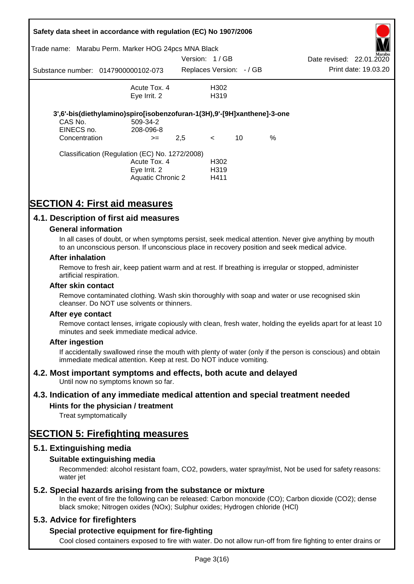|                                        | Safety data sheet in accordance with regulation (EC) No 1907/2006<br>Trade name: Marabu Perm. Marker HOG 24pcs MNA Black |                          |                                   |    |      |                          |                      |
|----------------------------------------|--------------------------------------------------------------------------------------------------------------------------|--------------------------|-----------------------------------|----|------|--------------------------|----------------------|
|                                        |                                                                                                                          | Version: 1/GB            |                                   |    |      | Date revised: 22.01.2020 | Marabu               |
|                                        | Substance number: 0147900000102-073                                                                                      | Replaces Version: - / GB |                                   |    |      |                          | Print date: 19.03.20 |
|                                        | Acute Tox. 4<br>Eye Irrit. 2                                                                                             |                          | H302<br>H <sub>3</sub> 19         |    |      |                          |                      |
| CAS No.<br>EINECS no.<br>Concentration | 3',6'-bis(diethylamino)spiro[isobenzofuran-1(3H),9'-[9H]xanthene]-3-one<br>509-34-2<br>208-096-8<br>$>=$                 | 2,5                      | $\prec$                           | 10 | $\%$ |                          |                      |
|                                        | Classification (Regulation (EC) No. 1272/2008)<br>Acute Tox. 4<br>Eye Irrit. 2<br><b>Aquatic Chronic 2</b>               |                          | H302<br>H <sub>3</sub> 19<br>H411 |    |      |                          |                      |

# **SECTION 4: First aid measures**

# **4.1. Description of first aid measures**

### **General information**

In all cases of doubt, or when symptoms persist, seek medical attention. Never give anything by mouth to an unconscious person. If unconscious place in recovery position and seek medical advice.

#### **After inhalation**

Remove to fresh air, keep patient warm and at rest. If breathing is irregular or stopped, administer artificial respiration.

#### **After skin contact**

Remove contaminated clothing. Wash skin thoroughly with soap and water or use recognised skin cleanser. Do NOT use solvents or thinners.

#### **After eye contact**

Remove contact lenses, irrigate copiously with clean, fresh water, holding the eyelids apart for at least 10 minutes and seek immediate medical advice.

#### **After ingestion**

If accidentally swallowed rinse the mouth with plenty of water (only if the person is conscious) and obtain immediate medical attention. Keep at rest. Do NOT induce vomiting.

# **4.2. Most important symptoms and effects, both acute and delayed**

Until now no symptoms known so far.

# **4.3. Indication of any immediate medical attention and special treatment needed**

# **Hints for the physician / treatment**

Treat symptomatically

# **SECTION 5: Firefighting measures**

# **5.1. Extinguishing media**

# **Suitable extinguishing media**

Recommended: alcohol resistant foam, CO2, powders, water spray/mist, Not be used for safety reasons: water *iet* 

# **5.2. Special hazards arising from the substance or mixture**

In the event of fire the following can be released: Carbon monoxide (CO); Carbon dioxide (CO2); dense black smoke; Nitrogen oxides (NOx); Sulphur oxides; Hydrogen chloride (HCl)

# **5.3. Advice for firefighters**

# **Special protective equipment for fire-fighting**

Cool closed containers exposed to fire with water. Do not allow run-off from fire fighting to enter drains or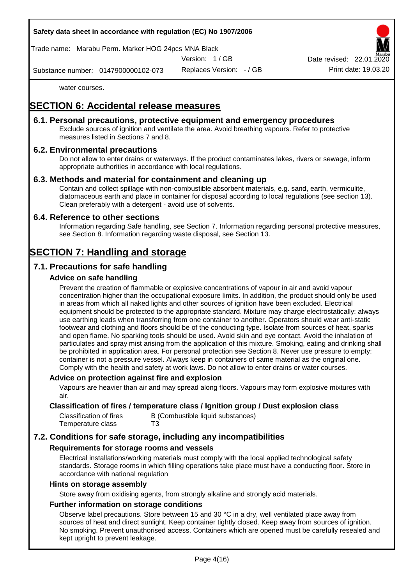Trade name: Marabu Perm. Marker HOG 24pcs MNA Black

Version: 1 / GB

Replaces Version: - / GB Print date: 19.03.20 Date revised: 22.01.

Substance number: 0147900000102-073

water courses.

# **SECTION 6: Accidental release measures**

# **6.1. Personal precautions, protective equipment and emergency procedures**

Exclude sources of ignition and ventilate the area. Avoid breathing vapours. Refer to protective measures listed in Sections 7 and 8.

# **6.2. Environmental precautions**

Do not allow to enter drains or waterways. If the product contaminates lakes, rivers or sewage, inform appropriate authorities in accordance with local regulations.

# **6.3. Methods and material for containment and cleaning up**

Contain and collect spillage with non-combustible absorbent materials, e.g. sand, earth, vermiculite, diatomaceous earth and place in container for disposal according to local regulations (see section 13). Clean preferably with a detergent - avoid use of solvents.

# **6.4. Reference to other sections**

Information regarding Safe handling, see Section 7. Information regarding personal protective measures, see Section 8. Information regarding waste disposal, see Section 13.

# **SECTION 7: Handling and storage**

# **7.1. Precautions for safe handling**

# **Advice on safe handling**

Prevent the creation of flammable or explosive concentrations of vapour in air and avoid vapour concentration higher than the occupational exposure limits. In addition, the product should only be used in areas from which all naked lights and other sources of ignition have been excluded. Electrical equipment should be protected to the appropriate standard. Mixture may charge electrostatically: always use earthing leads when transferring from one container to another. Operators should wear anti-static footwear and clothing and floors should be of the conducting type. Isolate from sources of heat, sparks and open flame. No sparking tools should be used. Avoid skin and eye contact. Avoid the inhalation of particulates and spray mist arising from the application of this mixture. Smoking, eating and drinking shall be prohibited in application area. For personal protection see Section 8. Never use pressure to empty: container is not a pressure vessel. Always keep in containers of same material as the original one. Comply with the health and safety at work laws. Do not allow to enter drains or water courses.

#### **Advice on protection against fire and explosion**

Vapours are heavier than air and may spread along floors. Vapours may form explosive mixtures with air.

### **Classification of fires / temperature class / Ignition group / Dust explosion class**

| Classification of fires | B (Combustible liquid substances) |
|-------------------------|-----------------------------------|
| Temperature class       | T3                                |

# **7.2. Conditions for safe storage, including any incompatibilities**

# **Requirements for storage rooms and vessels**

Electrical installations/working materials must comply with the local applied technological safety standards. Storage rooms in which filling operations take place must have a conducting floor. Store in accordance with national regulation

#### **Hints on storage assembly**

Store away from oxidising agents, from strongly alkaline and strongly acid materials.

### **Further information on storage conditions**

Observe label precautions. Store between 15 and 30 °C in a dry, well ventilated place away from sources of heat and direct sunlight. Keep container tightly closed. Keep away from sources of ignition. No smoking. Prevent unauthorised access. Containers which are opened must be carefully resealed and kept upright to prevent leakage.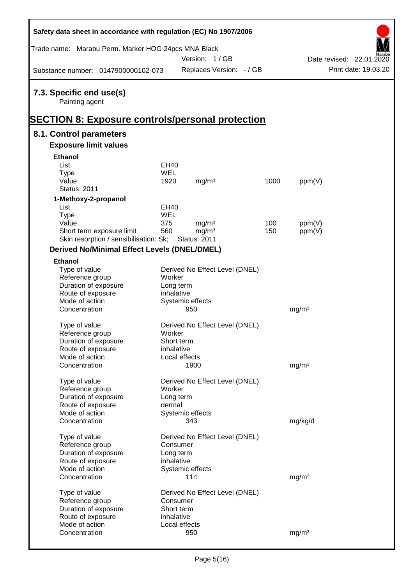| Safety data sheet in accordance with regulation (EC) No 1907/2006                                     |             |                                          |      |                   |                          |
|-------------------------------------------------------------------------------------------------------|-------------|------------------------------------------|------|-------------------|--------------------------|
| Trade name: Marabu Perm. Marker HOG 24pcs MNA Black                                                   |             | Version: 1/GB                            |      |                   | Date revised: 22.01.2020 |
| Substance number: 0147900000102-073                                                                   |             | Replaces Version: - / GB                 |      |                   | Print date: 19.03.20     |
| 7.3. Specific end use(s)<br>Painting agent<br><b>SECTION 8: Exposure controls/personal protection</b> |             |                                          |      |                   |                          |
| 8.1. Control parameters                                                                               |             |                                          |      |                   |                          |
| <b>Exposure limit values</b>                                                                          |             |                                          |      |                   |                          |
| <b>Ethanol</b>                                                                                        |             |                                          |      |                   |                          |
| List                                                                                                  | <b>EH40</b> |                                          |      |                   |                          |
| <b>Type</b>                                                                                           | <b>WEL</b>  |                                          |      |                   |                          |
| Value                                                                                                 | 1920        | mg/m <sup>3</sup>                        | 1000 | ppm(V)            |                          |
| <b>Status: 2011</b>                                                                                   |             |                                          |      |                   |                          |
| 1-Methoxy-2-propanol                                                                                  |             |                                          |      |                   |                          |
| List                                                                                                  | <b>EH40</b> |                                          |      |                   |                          |
| <b>Type</b>                                                                                           | <b>WEL</b>  |                                          |      |                   |                          |
| Value                                                                                                 | 375         | mg/m <sup>3</sup>                        | 100  | ppm(V)            |                          |
| Short term exposure limit<br>Skin resorption / sensibilisation: Sk;                                   | 560         | mg/m <sup>3</sup><br><b>Status: 2011</b> | 150  | ppm(V)            |                          |
| <b>Derived No/Minimal Effect Levels (DNEL/DMEL)</b>                                                   |             |                                          |      |                   |                          |
| <b>Ethanol</b>                                                                                        |             |                                          |      |                   |                          |
| Type of value                                                                                         |             | Derived No Effect Level (DNEL)           |      |                   |                          |
| Reference group                                                                                       | Worker      |                                          |      |                   |                          |
| Duration of exposure                                                                                  | Long term   |                                          |      |                   |                          |
| Route of exposure                                                                                     | inhalative  |                                          |      |                   |                          |
| Mode of action                                                                                        |             | Systemic effects                         |      |                   |                          |
| Concentration                                                                                         |             | 950                                      |      | mg/m <sup>3</sup> |                          |
| Type of value                                                                                         |             | Derived No Effect Level (DNEL)           |      |                   |                          |
| Reference group                                                                                       | Worker      |                                          |      |                   |                          |
| Duration of exposure                                                                                  | Short term  |                                          |      |                   |                          |
| Route of exposure                                                                                     | inhalative  |                                          |      |                   |                          |
| Mode of action                                                                                        |             | Local effects                            |      |                   |                          |
| Concentration                                                                                         |             | 1900                                     |      | mg/m <sup>3</sup> |                          |
| Type of value                                                                                         |             | Derived No Effect Level (DNEL)           |      |                   |                          |
| Reference group                                                                                       | Worker      |                                          |      |                   |                          |
| Duration of exposure                                                                                  | Long term   |                                          |      |                   |                          |
| Route of exposure                                                                                     | dermal      |                                          |      |                   |                          |
| Mode of action                                                                                        |             | Systemic effects                         |      |                   |                          |
| Concentration                                                                                         |             | 343                                      |      | mg/kg/d           |                          |
| Type of value                                                                                         |             | Derived No Effect Level (DNEL)           |      |                   |                          |
| Reference group                                                                                       | Consumer    |                                          |      |                   |                          |
| Duration of exposure                                                                                  | Long term   |                                          |      |                   |                          |
| Route of exposure                                                                                     | inhalative  |                                          |      |                   |                          |
| Mode of action                                                                                        |             | Systemic effects                         |      |                   |                          |
| Concentration                                                                                         |             | 114                                      |      | mg/m <sup>3</sup> |                          |
|                                                                                                       |             |                                          |      |                   |                          |
| Type of value<br>Reference group                                                                      | Consumer    | Derived No Effect Level (DNEL)           |      |                   |                          |
| Duration of exposure                                                                                  | Short term  |                                          |      |                   |                          |
| Route of exposure                                                                                     | inhalative  |                                          |      |                   |                          |
| Mode of action                                                                                        |             | Local effects                            |      |                   |                          |
| Concentration                                                                                         |             | 950                                      |      | mg/m <sup>3</sup> |                          |
|                                                                                                       |             |                                          |      |                   |                          |

 $\mathsf{r}$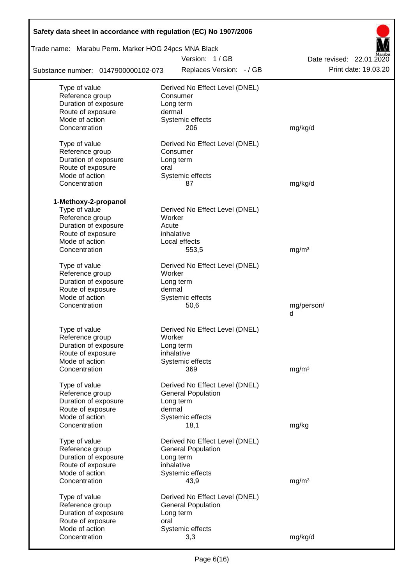| Safety data sheet in accordance with regulation (EC) No 1907/2006 |                                |                          |
|-------------------------------------------------------------------|--------------------------------|--------------------------|
| Trade name: Marabu Perm. Marker HOG 24pcs MNA Black               |                                |                          |
|                                                                   | Version: 1/GB                  | Date revised: 22.01.2020 |
| Substance number: 0147900000102-073                               | Replaces Version: - / GB       | Print date: 19.03.20     |
| Type of value                                                     | Derived No Effect Level (DNEL) |                          |
| Reference group                                                   | Consumer                       |                          |
| Duration of exposure                                              | Long term                      |                          |
| Route of exposure                                                 | dermal                         |                          |
| Mode of action                                                    | Systemic effects               |                          |
| Concentration                                                     | 206                            | mg/kg/d                  |
| Type of value                                                     | Derived No Effect Level (DNEL) |                          |
| Reference group                                                   | Consumer                       |                          |
| Duration of exposure                                              | Long term                      |                          |
| Route of exposure                                                 | oral                           |                          |
| Mode of action                                                    | Systemic effects               |                          |
| Concentration                                                     | 87                             | mg/kg/d                  |
| 1-Methoxy-2-propanol                                              |                                |                          |
| Type of value                                                     | Derived No Effect Level (DNEL) |                          |
| Reference group                                                   | Worker                         |                          |
| Duration of exposure                                              | Acute                          |                          |
| Route of exposure                                                 | inhalative                     |                          |
| Mode of action                                                    | Local effects                  |                          |
| Concentration                                                     | 553,5                          | mg/m <sup>3</sup>        |
| Type of value                                                     | Derived No Effect Level (DNEL) |                          |
| Reference group                                                   | Worker                         |                          |
| Duration of exposure                                              | Long term                      |                          |
| Route of exposure                                                 | dermal                         |                          |
| Mode of action                                                    | Systemic effects               |                          |
| Concentration                                                     | 50,6                           | mg/person/               |
|                                                                   |                                | d                        |
| Type of value                                                     | Derived No Effect Level (DNEL) |                          |
| Reference group                                                   | Worker                         |                          |
| Duration of exposure                                              | Long term                      |                          |
| Route of exposure                                                 | inhalative                     |                          |
| Mode of action                                                    | Systemic effects               |                          |
| Concentration                                                     | 369                            | mg/m <sup>3</sup>        |
| Type of value                                                     | Derived No Effect Level (DNEL) |                          |
| Reference group                                                   | <b>General Population</b>      |                          |
| Duration of exposure                                              | Long term                      |                          |
| Route of exposure                                                 | dermal                         |                          |
| Mode of action                                                    | Systemic effects               |                          |
| Concentration                                                     | 18,1                           | mg/kg                    |
| Type of value                                                     | Derived No Effect Level (DNEL) |                          |
| Reference group                                                   | <b>General Population</b>      |                          |
| Duration of exposure                                              | Long term                      |                          |
| Route of exposure                                                 | inhalative                     |                          |
| Mode of action                                                    | Systemic effects               |                          |
| Concentration                                                     | 43,9                           | mg/m <sup>3</sup>        |
| Type of value                                                     | Derived No Effect Level (DNEL) |                          |
| Reference group                                                   | <b>General Population</b>      |                          |
| Duration of exposure                                              | Long term                      |                          |
| Route of exposure                                                 | oral                           |                          |
| Mode of action                                                    | Systemic effects               |                          |
| Concentration                                                     | 3,3                            | mg/kg/d                  |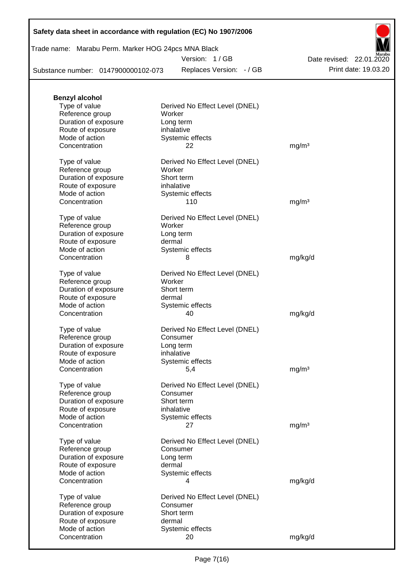# Trade name: Marabu Perm. Marker HOG 24pcs MNA Black

Version: 1 / GB

Replaces Version: - / GB Print date: 19.03.20 Date revised: 22.01.2020

Substance number: 0147900000102-073

| <b>Benzyl alcohol</b> |                                |                   |
|-----------------------|--------------------------------|-------------------|
| Type of value         | Derived No Effect Level (DNEL) |                   |
| Reference group       | Worker                         |                   |
| Duration of exposure  | Long term                      |                   |
| Route of exposure     | inhalative                     |                   |
| Mode of action        | Systemic effects               |                   |
| Concentration         | 22                             | mg/m <sup>3</sup> |
| Type of value         | Derived No Effect Level (DNEL) |                   |
| Reference group       | Worker                         |                   |
| Duration of exposure  | Short term                     |                   |
| Route of exposure     | inhalative                     |                   |
| Mode of action        | Systemic effects               |                   |
| Concentration         | 110                            | mg/m <sup>3</sup> |
| Type of value         | Derived No Effect Level (DNEL) |                   |
| Reference group       | Worker                         |                   |
| Duration of exposure  | Long term                      |                   |
| Route of exposure     | dermal                         |                   |
| Mode of action        | Systemic effects               |                   |
| Concentration         | 8                              | mg/kg/d           |
| Type of value         | Derived No Effect Level (DNEL) |                   |
| Reference group       | Worker                         |                   |
| Duration of exposure  | Short term                     |                   |
| Route of exposure     | dermal                         |                   |
| Mode of action        | Systemic effects               |                   |
| Concentration         | 40                             | mg/kg/d           |
|                       |                                |                   |
| Type of value         | Derived No Effect Level (DNEL) |                   |
| Reference group       | Consumer                       |                   |
| Duration of exposure  | Long term                      |                   |
| Route of exposure     | inhalative                     |                   |
| Mode of action        | Systemic effects               |                   |
| Concentration         | 5,4                            | mg/m <sup>3</sup> |
| Type of value         | Derived No Effect Level (DNEL) |                   |
| Reference group       | Consumer                       |                   |
| Duration of exposure  | Short term                     |                   |
| Route of exposure     | inhalative                     |                   |
| Mode of action        | Systemic effects               |                   |
| Concentration         | 27                             | mg/m <sup>3</sup> |
| Type of value         | Derived No Effect Level (DNEL) |                   |
| Reference group       | Consumer                       |                   |
| Duration of exposure  | Long term                      |                   |
| Route of exposure     | dermal                         |                   |
| Mode of action        | Systemic effects               |                   |
| Concentration         | 4                              | mg/kg/d           |
| Type of value         | Derived No Effect Level (DNEL) |                   |
| Reference group       | Consumer                       |                   |
| Duration of exposure  | Short term                     |                   |
| Route of exposure     | dermal                         |                   |
| Mode of action        | Systemic effects               |                   |
| Concentration         | 20                             | mg/kg/d           |
|                       |                                |                   |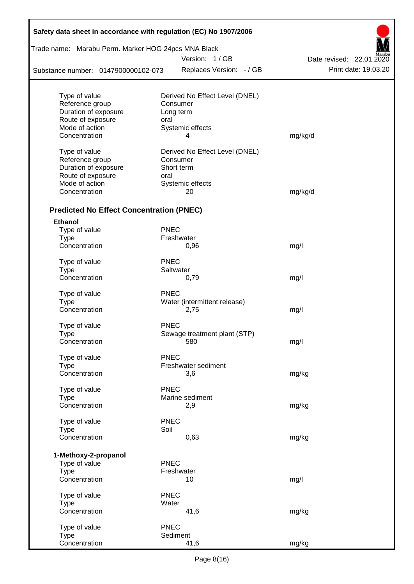| Safety data sheet in accordance with regulation (EC) No 1907/2006 |             |                                |                          |
|-------------------------------------------------------------------|-------------|--------------------------------|--------------------------|
| Trade name: Marabu Perm. Marker HOG 24pcs MNA Black               |             |                                |                          |
|                                                                   |             | Version: 1/GB                  | Date revised: 22.01.2020 |
| Substance number: 0147900000102-073                               |             | Replaces Version: - / GB       | Print date: 19.03.20     |
| Type of value                                                     |             | Derived No Effect Level (DNEL) |                          |
| Reference group                                                   |             | Consumer                       |                          |
| Duration of exposure                                              |             | Long term                      |                          |
| Route of exposure                                                 | oral        |                                |                          |
| Mode of action                                                    |             | Systemic effects               |                          |
| Concentration                                                     |             | 4                              | mg/kg/d                  |
| Type of value                                                     |             | Derived No Effect Level (DNEL) |                          |
| Reference group                                                   |             | Consumer                       |                          |
| Duration of exposure                                              |             | Short term                     |                          |
| Route of exposure                                                 | oral        |                                |                          |
| Mode of action                                                    |             | Systemic effects               |                          |
| Concentration                                                     |             | 20                             | mg/kg/d                  |
| <b>Predicted No Effect Concentration (PNEC)</b>                   |             |                                |                          |
| <b>Ethanol</b>                                                    |             |                                |                          |
| Type of value                                                     | <b>PNEC</b> |                                |                          |
| <b>Type</b>                                                       |             | Freshwater                     |                          |
| Concentration                                                     |             | 0,96                           | mg/l                     |
| Type of value                                                     | <b>PNEC</b> |                                |                          |
| <b>Type</b>                                                       |             | Saltwater                      |                          |
| Concentration                                                     |             | 0,79                           | mg/l                     |
| Type of value                                                     | <b>PNEC</b> |                                |                          |
| <b>Type</b>                                                       |             | Water (intermittent release)   |                          |
| Concentration                                                     |             | 2,75                           | mg/l                     |
| Type of value                                                     | <b>PNEC</b> |                                |                          |
| Type                                                              |             | Sewage treatment plant (STP)   |                          |
| Concentration                                                     |             | 580                            | mg/l                     |
| Type of value                                                     | PNEC        |                                |                          |
| <b>Type</b>                                                       |             | Freshwater sediment            |                          |
| Concentration                                                     |             | 3,6                            | mg/kg                    |
| Type of value                                                     | <b>PNEC</b> |                                |                          |
| <b>Type</b>                                                       |             | Marine sediment                |                          |
| Concentration                                                     |             | 2,9                            | mg/kg                    |
| Type of value                                                     | <b>PNEC</b> |                                |                          |
| <b>Type</b>                                                       | Soil        |                                |                          |
| Concentration                                                     |             | 0,63                           | mg/kg                    |
| 1-Methoxy-2-propanol                                              |             |                                |                          |
| Type of value                                                     | <b>PNEC</b> |                                |                          |
| <b>Type</b>                                                       |             | Freshwater                     |                          |
| Concentration                                                     |             | 10                             | mg/l                     |
| Type of value                                                     | <b>PNEC</b> |                                |                          |
| <b>Type</b>                                                       | Water       |                                |                          |
| Concentration                                                     |             | 41,6                           | mg/kg                    |
| Type of value                                                     | <b>PNEC</b> |                                |                          |
| <b>Type</b>                                                       |             | Sediment                       |                          |
| Concentration                                                     |             | 41,6                           | mg/kg                    |

 $\mathsf{r}$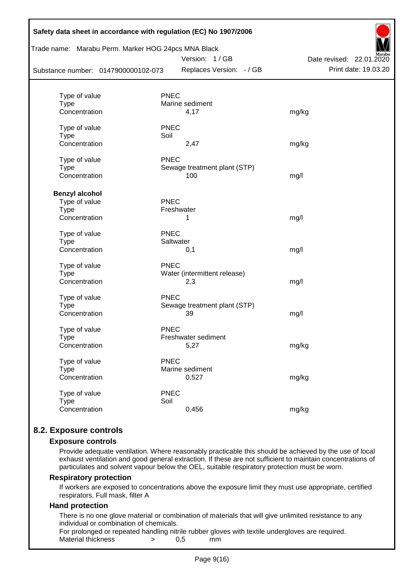| Safety data sheet in accordance with regulation (EC) No 1907/2006<br>Trade name: Marabu Perm. Marker HOG 24pcs MNA Black<br>Version: 1/GB<br>Date revised: 22.01.2020 |                         |                              |                      |  |  |
|-----------------------------------------------------------------------------------------------------------------------------------------------------------------------|-------------------------|------------------------------|----------------------|--|--|
| Substance number: 0147900000102-073                                                                                                                                   |                         | Replaces Version: - / GB     | Print date: 19.03.20 |  |  |
|                                                                                                                                                                       |                         |                              |                      |  |  |
| Type of value                                                                                                                                                         | <b>PNEC</b>             |                              |                      |  |  |
| <b>Type</b><br>Concentration                                                                                                                                          | Marine sediment<br>4,17 |                              | mg/kg                |  |  |
|                                                                                                                                                                       |                         |                              |                      |  |  |
| Type of value                                                                                                                                                         | <b>PNEC</b>             |                              |                      |  |  |
| <b>Type</b>                                                                                                                                                           | Soil                    |                              |                      |  |  |
| Concentration                                                                                                                                                         | 2,47                    |                              | mg/kg                |  |  |
| Type of value                                                                                                                                                         | <b>PNEC</b>             |                              |                      |  |  |
| <b>Type</b>                                                                                                                                                           |                         | Sewage treatment plant (STP) |                      |  |  |
| Concentration                                                                                                                                                         | 100                     |                              | mg/l                 |  |  |
| <b>Benzyl alcohol</b>                                                                                                                                                 |                         |                              |                      |  |  |
| Type of value                                                                                                                                                         | PNEC                    |                              |                      |  |  |
| <b>Type</b>                                                                                                                                                           | Freshwater              |                              |                      |  |  |
| Concentration                                                                                                                                                         | 1                       |                              | mg/l                 |  |  |
| Type of value                                                                                                                                                         | <b>PNEC</b>             |                              |                      |  |  |
| <b>Type</b>                                                                                                                                                           | Saltwater               |                              |                      |  |  |
| Concentration                                                                                                                                                         | 0,1                     |                              | mg/l                 |  |  |
| Type of value                                                                                                                                                         | <b>PNEC</b>             |                              |                      |  |  |
| <b>Type</b>                                                                                                                                                           |                         | Water (intermittent release) |                      |  |  |
| Concentration                                                                                                                                                         | 2,3                     |                              | mg/l                 |  |  |
| Type of value                                                                                                                                                         | <b>PNEC</b>             |                              |                      |  |  |
| <b>Type</b>                                                                                                                                                           |                         | Sewage treatment plant (STP) |                      |  |  |
| Concentration                                                                                                                                                         | 39                      |                              | mg/l                 |  |  |
| Type of value                                                                                                                                                         | <b>PNEC</b>             |                              |                      |  |  |
| <b>Type</b>                                                                                                                                                           | Freshwater sediment     |                              |                      |  |  |
| Concentration                                                                                                                                                         | 5,27                    |                              | mg/kg                |  |  |
| Type of value                                                                                                                                                         | <b>PNEC</b>             |                              |                      |  |  |
| <b>Type</b>                                                                                                                                                           | Marine sediment         |                              |                      |  |  |
| Concentration                                                                                                                                                         | 0,527                   |                              | mg/kg                |  |  |
| Type of value                                                                                                                                                         | <b>PNEC</b>             |                              |                      |  |  |
| <b>Type</b>                                                                                                                                                           | Soil                    |                              |                      |  |  |
| Concentration                                                                                                                                                         | 0,456                   |                              | mg/kg                |  |  |
|                                                                                                                                                                       |                         |                              |                      |  |  |

# **8.2. Exposure controls**

#### **Exposure controls**

Provide adequate ventilation. Where reasonably practicable this should be achieved by the use of local exhaust ventilation and good general extraction. If these are not sufficient to maintain concentrations of particulates and solvent vapour below the OEL, suitable respiratory protection must be worn.

#### **Respiratory protection**

If workers are exposed to concentrations above the exposure limit they must use appropriate, certified respirators. Full mask, filter A

# **Hand protection**

There is no one glove material or combination of materials that will give unlimited resistance to any individual or combination of chemicals.

For prolonged or repeated handling nitrile rubber gloves with textile undergloves are required. Material thickness  $\rightarrow$  0,5 mm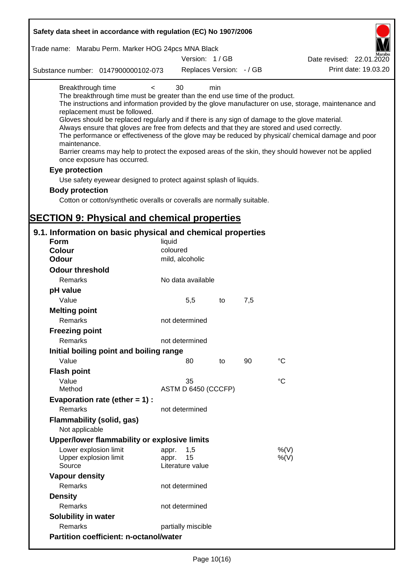| Safety data sheet in accordance with regulation (EC) No 1907/2006                                                                                                                                                                                                                                                                                                                                                                                                                                                                                                                                                                                                                                                                                                                                                                                    |                                                 |    |     |                                                                                                                                                                                                            |
|------------------------------------------------------------------------------------------------------------------------------------------------------------------------------------------------------------------------------------------------------------------------------------------------------------------------------------------------------------------------------------------------------------------------------------------------------------------------------------------------------------------------------------------------------------------------------------------------------------------------------------------------------------------------------------------------------------------------------------------------------------------------------------------------------------------------------------------------------|-------------------------------------------------|----|-----|------------------------------------------------------------------------------------------------------------------------------------------------------------------------------------------------------------|
| Trade name: Marabu Perm. Marker HOG 24pcs MNA Black                                                                                                                                                                                                                                                                                                                                                                                                                                                                                                                                                                                                                                                                                                                                                                                                  |                                                 |    |     |                                                                                                                                                                                                            |
|                                                                                                                                                                                                                                                                                                                                                                                                                                                                                                                                                                                                                                                                                                                                                                                                                                                      | Version: 1/GB                                   |    |     | Date revised: 22.01.2020                                                                                                                                                                                   |
| Substance number: 0147900000102-073                                                                                                                                                                                                                                                                                                                                                                                                                                                                                                                                                                                                                                                                                                                                                                                                                  | Replaces Version: - / GB                        |    |     | Print date: 19.03.20                                                                                                                                                                                       |
| Breakthrough time<br>$\prec$<br>The breakthrough time must be greater than the end use time of the product.<br>replacement must be followed.<br>Gloves should be replaced regularly and if there is any sign of damage to the glove material.<br>Always ensure that gloves are free from defects and that they are stored and used correctly.<br>maintenance.<br>Barrier creams may help to protect the exposed areas of the skin, they should however not be applied<br>once exposure has occurred.<br>Eye protection<br>Use safety eyewear designed to protect against splash of liquids.<br><b>Body protection</b><br>Cotton or cotton/synthetic overalls or coveralls are normally suitable.<br><b>SECTION 9: Physical and chemical properties</b><br>9.1. Information on basic physical and chemical properties<br><b>Form</b><br><b>Colour</b> | 30<br>min<br>liquid<br>coloured                 |    |     | The instructions and information provided by the glove manufacturer on use, storage, maintenance and<br>The performance or effectiveness of the glove may be reduced by physical/ chemical damage and poor |
| <b>Odour</b>                                                                                                                                                                                                                                                                                                                                                                                                                                                                                                                                                                                                                                                                                                                                                                                                                                         | mild, alcoholic                                 |    |     |                                                                                                                                                                                                            |
| <b>Odour threshold</b>                                                                                                                                                                                                                                                                                                                                                                                                                                                                                                                                                                                                                                                                                                                                                                                                                               |                                                 |    |     |                                                                                                                                                                                                            |
| Remarks                                                                                                                                                                                                                                                                                                                                                                                                                                                                                                                                                                                                                                                                                                                                                                                                                                              | No data available                               |    |     |                                                                                                                                                                                                            |
| pH value                                                                                                                                                                                                                                                                                                                                                                                                                                                                                                                                                                                                                                                                                                                                                                                                                                             |                                                 |    |     |                                                                                                                                                                                                            |
| Value                                                                                                                                                                                                                                                                                                                                                                                                                                                                                                                                                                                                                                                                                                                                                                                                                                                | 5,5                                             | to | 7,5 |                                                                                                                                                                                                            |
| <b>Melting point</b>                                                                                                                                                                                                                                                                                                                                                                                                                                                                                                                                                                                                                                                                                                                                                                                                                                 |                                                 |    |     |                                                                                                                                                                                                            |
| Remarks                                                                                                                                                                                                                                                                                                                                                                                                                                                                                                                                                                                                                                                                                                                                                                                                                                              | not determined                                  |    |     |                                                                                                                                                                                                            |
| <b>Freezing point</b>                                                                                                                                                                                                                                                                                                                                                                                                                                                                                                                                                                                                                                                                                                                                                                                                                                |                                                 |    |     |                                                                                                                                                                                                            |
| Remarks                                                                                                                                                                                                                                                                                                                                                                                                                                                                                                                                                                                                                                                                                                                                                                                                                                              | not determined                                  |    |     |                                                                                                                                                                                                            |
| Initial boiling point and boiling range                                                                                                                                                                                                                                                                                                                                                                                                                                                                                                                                                                                                                                                                                                                                                                                                              |                                                 |    |     |                                                                                                                                                                                                            |
| Value                                                                                                                                                                                                                                                                                                                                                                                                                                                                                                                                                                                                                                                                                                                                                                                                                                                | 80                                              | to | 90  | $^{\circ}C$                                                                                                                                                                                                |
| <b>Flash point</b>                                                                                                                                                                                                                                                                                                                                                                                                                                                                                                                                                                                                                                                                                                                                                                                                                                   |                                                 |    |     |                                                                                                                                                                                                            |
| Value                                                                                                                                                                                                                                                                                                                                                                                                                                                                                                                                                                                                                                                                                                                                                                                                                                                | 35                                              |    |     | °C                                                                                                                                                                                                         |
| Method                                                                                                                                                                                                                                                                                                                                                                                                                                                                                                                                                                                                                                                                                                                                                                                                                                               | ASTM D 6450 (CCCFP)                             |    |     |                                                                                                                                                                                                            |
| Evaporation rate (ether $= 1$ ) :                                                                                                                                                                                                                                                                                                                                                                                                                                                                                                                                                                                                                                                                                                                                                                                                                    |                                                 |    |     |                                                                                                                                                                                                            |
| Remarks                                                                                                                                                                                                                                                                                                                                                                                                                                                                                                                                                                                                                                                                                                                                                                                                                                              | not determined                                  |    |     |                                                                                                                                                                                                            |
| Flammability (solid, gas)                                                                                                                                                                                                                                                                                                                                                                                                                                                                                                                                                                                                                                                                                                                                                                                                                            |                                                 |    |     |                                                                                                                                                                                                            |
| Not applicable                                                                                                                                                                                                                                                                                                                                                                                                                                                                                                                                                                                                                                                                                                                                                                                                                                       |                                                 |    |     |                                                                                                                                                                                                            |
| Upper/lower flammability or explosive limits                                                                                                                                                                                                                                                                                                                                                                                                                                                                                                                                                                                                                                                                                                                                                                                                         |                                                 |    |     |                                                                                                                                                                                                            |
| Lower explosion limit<br>Upper explosion limit<br>Source                                                                                                                                                                                                                                                                                                                                                                                                                                                                                                                                                                                                                                                                                                                                                                                             | 1,5<br>appr.<br>15<br>appr.<br>Literature value |    |     | %(V)<br>$%$ (V)                                                                                                                                                                                            |
| <b>Vapour density</b>                                                                                                                                                                                                                                                                                                                                                                                                                                                                                                                                                                                                                                                                                                                                                                                                                                |                                                 |    |     |                                                                                                                                                                                                            |
| Remarks                                                                                                                                                                                                                                                                                                                                                                                                                                                                                                                                                                                                                                                                                                                                                                                                                                              | not determined                                  |    |     |                                                                                                                                                                                                            |
| <b>Density</b>                                                                                                                                                                                                                                                                                                                                                                                                                                                                                                                                                                                                                                                                                                                                                                                                                                       |                                                 |    |     |                                                                                                                                                                                                            |
| Remarks                                                                                                                                                                                                                                                                                                                                                                                                                                                                                                                                                                                                                                                                                                                                                                                                                                              | not determined                                  |    |     |                                                                                                                                                                                                            |
| Solubility in water                                                                                                                                                                                                                                                                                                                                                                                                                                                                                                                                                                                                                                                                                                                                                                                                                                  |                                                 |    |     |                                                                                                                                                                                                            |
| Remarks                                                                                                                                                                                                                                                                                                                                                                                                                                                                                                                                                                                                                                                                                                                                                                                                                                              | partially miscible                              |    |     |                                                                                                                                                                                                            |
| <b>Partition coefficient: n-octanol/water</b>                                                                                                                                                                                                                                                                                                                                                                                                                                                                                                                                                                                                                                                                                                                                                                                                        |                                                 |    |     |                                                                                                                                                                                                            |
|                                                                                                                                                                                                                                                                                                                                                                                                                                                                                                                                                                                                                                                                                                                                                                                                                                                      |                                                 |    |     |                                                                                                                                                                                                            |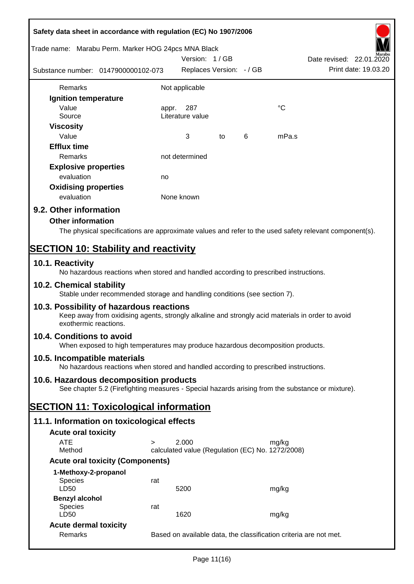| Safety data sheet in accordance with regulation (EC) No 1907/2006                                                                                                     |       |                                                  |    |   |             |                                                                   |
|-----------------------------------------------------------------------------------------------------------------------------------------------------------------------|-------|--------------------------------------------------|----|---|-------------|-------------------------------------------------------------------|
| Trade name: Marabu Perm. Marker HOG 24pcs MNA Black                                                                                                                   |       | Version: 1/GB                                    |    |   |             | Date revised: 22.01.2020                                          |
| Substance number: 0147900000102-073                                                                                                                                   |       | Replaces Version: - / GB                         |    |   |             | Print date: 19.03.20                                              |
| Remarks                                                                                                                                                               |       | Not applicable                                   |    |   |             |                                                                   |
| Ignition temperature                                                                                                                                                  |       |                                                  |    |   |             |                                                                   |
| Value                                                                                                                                                                 | appr. | 287                                              |    |   | $^{\circ}C$ |                                                                   |
| Source                                                                                                                                                                |       | Literature value                                 |    |   |             |                                                                   |
| <b>Viscosity</b>                                                                                                                                                      |       |                                                  |    |   |             |                                                                   |
| Value                                                                                                                                                                 |       | 3                                                | to | 6 | mPa.s       |                                                                   |
| <b>Efflux time</b>                                                                                                                                                    |       |                                                  |    |   |             |                                                                   |
| Remarks                                                                                                                                                               |       | not determined                                   |    |   |             |                                                                   |
| <b>Explosive properties</b>                                                                                                                                           |       |                                                  |    |   |             |                                                                   |
| evaluation                                                                                                                                                            | no    |                                                  |    |   |             |                                                                   |
| <b>Oxidising properties</b>                                                                                                                                           |       |                                                  |    |   |             |                                                                   |
| evaluation                                                                                                                                                            |       | None known                                       |    |   |             |                                                                   |
| 9.2. Other information                                                                                                                                                |       |                                                  |    |   |             |                                                                   |
| <b>Other information</b>                                                                                                                                              |       |                                                  |    |   |             |                                                                   |
| The physical specifications are approximate values and refer to the used safety relevant component(s).                                                                |       |                                                  |    |   |             |                                                                   |
| <b>SECTION 10: Stability and reactivity</b>                                                                                                                           |       |                                                  |    |   |             |                                                                   |
| 10.1. Reactivity                                                                                                                                                      |       |                                                  |    |   |             |                                                                   |
| No hazardous reactions when stored and handled according to prescribed instructions.                                                                                  |       |                                                  |    |   |             |                                                                   |
| 10.2. Chemical stability<br>Stable under recommended storage and handling conditions (see section 7).                                                                 |       |                                                  |    |   |             |                                                                   |
| 10.3. Possibility of hazardous reactions<br>Keep away from oxidising agents, strongly alkaline and strongly acid materials in order to avoid<br>exothermic reactions. |       |                                                  |    |   |             |                                                                   |
| 10.4. Conditions to avoid<br>When exposed to high temperatures may produce hazardous decomposition products.                                                          |       |                                                  |    |   |             |                                                                   |
| 10.5. Incompatible materials<br>No hazardous reactions when stored and handled according to prescribed instructions.                                                  |       |                                                  |    |   |             |                                                                   |
| 10.6. Hazardous decomposition products                                                                                                                                |       |                                                  |    |   |             |                                                                   |
| See chapter 5.2 (Firefighting measures - Special hazards arising from the substance or mixture).                                                                      |       |                                                  |    |   |             |                                                                   |
| <b>SECTION 11: Toxicological information</b>                                                                                                                          |       |                                                  |    |   |             |                                                                   |
| 11.1. Information on toxicological effects                                                                                                                            |       |                                                  |    |   |             |                                                                   |
| <b>Acute oral toxicity</b>                                                                                                                                            |       |                                                  |    |   |             |                                                                   |
| <b>ATE</b><br>$\geq$                                                                                                                                                  |       | 2.000                                            |    |   | mg/kg       |                                                                   |
| Method                                                                                                                                                                |       | calculated value (Regulation (EC) No. 1272/2008) |    |   |             |                                                                   |
| <b>Acute oral toxicity (Components)</b>                                                                                                                               |       |                                                  |    |   |             |                                                                   |
| 1-Methoxy-2-propanol                                                                                                                                                  |       |                                                  |    |   |             |                                                                   |
| Species<br>LD50                                                                                                                                                       | rat   | 5200                                             |    |   | mg/kg       |                                                                   |
| <b>Benzyl alcohol</b>                                                                                                                                                 |       |                                                  |    |   |             |                                                                   |
| <b>Species</b>                                                                                                                                                        | rat   |                                                  |    |   |             |                                                                   |
| LD50                                                                                                                                                                  |       | 1620                                             |    |   | mg/kg       |                                                                   |
| <b>Acute dermal toxicity</b>                                                                                                                                          |       |                                                  |    |   |             |                                                                   |
| Remarks                                                                                                                                                               |       |                                                  |    |   |             | Based on available data, the classification criteria are not met. |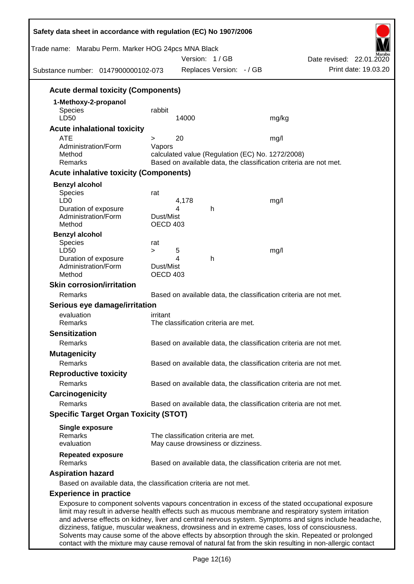| Trade name: Marabu Perm. Marker HOG 24pcs MNA Black<br>Substance number: 0147900000102-073 |                 | Version: 1/GB<br>Replaces Version: - / GB        | Date revised: 22.01.2020<br>Print date: 19.03.20                                                                                                                                                                                                                                                                |
|--------------------------------------------------------------------------------------------|-----------------|--------------------------------------------------|-----------------------------------------------------------------------------------------------------------------------------------------------------------------------------------------------------------------------------------------------------------------------------------------------------------------|
|                                                                                            |                 |                                                  |                                                                                                                                                                                                                                                                                                                 |
| <b>Acute dermal toxicity (Components)</b>                                                  |                 |                                                  |                                                                                                                                                                                                                                                                                                                 |
| 1-Methoxy-2-propanol                                                                       |                 |                                                  |                                                                                                                                                                                                                                                                                                                 |
| Species<br>LD50                                                                            | rabbit          | 14000                                            | mg/kg                                                                                                                                                                                                                                                                                                           |
| <b>Acute inhalational toxicity</b>                                                         |                 |                                                  |                                                                                                                                                                                                                                                                                                                 |
| <b>ATE</b>                                                                                 | >               | 20                                               | mg/l                                                                                                                                                                                                                                                                                                            |
| Administration/Form                                                                        | Vapors          |                                                  |                                                                                                                                                                                                                                                                                                                 |
| Method                                                                                     |                 | calculated value (Regulation (EC) No. 1272/2008) |                                                                                                                                                                                                                                                                                                                 |
| Remarks                                                                                    |                 |                                                  | Based on available data, the classification criteria are not met.                                                                                                                                                                                                                                               |
| <b>Acute inhalative toxicity (Components)</b>                                              |                 |                                                  |                                                                                                                                                                                                                                                                                                                 |
| <b>Benzyl alcohol</b>                                                                      |                 |                                                  |                                                                                                                                                                                                                                                                                                                 |
| <b>Species</b><br>LD <sub>0</sub>                                                          | rat             | 4,178                                            | mg/l                                                                                                                                                                                                                                                                                                            |
| Duration of exposure                                                                       |                 | 4<br>h                                           |                                                                                                                                                                                                                                                                                                                 |
| Administration/Form                                                                        | Dust/Mist       |                                                  |                                                                                                                                                                                                                                                                                                                 |
| Method                                                                                     | OECD 403        |                                                  |                                                                                                                                                                                                                                                                                                                 |
| <b>Benzyl alcohol</b>                                                                      |                 |                                                  |                                                                                                                                                                                                                                                                                                                 |
| <b>Species</b><br>LD50                                                                     | rat<br>$\geq$   | 5                                                | mg/l                                                                                                                                                                                                                                                                                                            |
| Duration of exposure                                                                       |                 | 4<br>h                                           |                                                                                                                                                                                                                                                                                                                 |
| Administration/Form                                                                        | Dust/Mist       |                                                  |                                                                                                                                                                                                                                                                                                                 |
| Method                                                                                     | <b>OECD 403</b> |                                                  |                                                                                                                                                                                                                                                                                                                 |
| <b>Skin corrosion/irritation</b>                                                           |                 |                                                  |                                                                                                                                                                                                                                                                                                                 |
| Remarks                                                                                    |                 |                                                  | Based on available data, the classification criteria are not met.                                                                                                                                                                                                                                               |
| Serious eye damage/irritation                                                              |                 |                                                  |                                                                                                                                                                                                                                                                                                                 |
| evaluation                                                                                 | irritant        |                                                  |                                                                                                                                                                                                                                                                                                                 |
| Remarks                                                                                    |                 | The classification criteria are met.             |                                                                                                                                                                                                                                                                                                                 |
| <b>Sensitization</b>                                                                       |                 |                                                  |                                                                                                                                                                                                                                                                                                                 |
| Remarks                                                                                    |                 |                                                  | Based on available data, the classification criteria are not met.                                                                                                                                                                                                                                               |
| <b>Mutagenicity</b>                                                                        |                 |                                                  |                                                                                                                                                                                                                                                                                                                 |
| Remarks                                                                                    |                 |                                                  | Based on available data, the classification criteria are not met.                                                                                                                                                                                                                                               |
| <b>Reproductive toxicity</b>                                                               |                 |                                                  |                                                                                                                                                                                                                                                                                                                 |
| Remarks                                                                                    |                 |                                                  | Based on available data, the classification criteria are not met.                                                                                                                                                                                                                                               |
| Carcinogenicity                                                                            |                 |                                                  |                                                                                                                                                                                                                                                                                                                 |
| Remarks                                                                                    |                 |                                                  | Based on available data, the classification criteria are not met.                                                                                                                                                                                                                                               |
| <b>Specific Target Organ Toxicity (STOT)</b>                                               |                 |                                                  |                                                                                                                                                                                                                                                                                                                 |
| <b>Single exposure</b>                                                                     |                 |                                                  |                                                                                                                                                                                                                                                                                                                 |
| Remarks                                                                                    |                 | The classification criteria are met.             |                                                                                                                                                                                                                                                                                                                 |
| evaluation                                                                                 |                 | May cause drowsiness or dizziness.               |                                                                                                                                                                                                                                                                                                                 |
| <b>Repeated exposure</b><br>Remarks                                                        |                 |                                                  | Based on available data, the classification criteria are not met.                                                                                                                                                                                                                                               |
| <b>Aspiration hazard</b>                                                                   |                 |                                                  |                                                                                                                                                                                                                                                                                                                 |
| Based on available data, the classification criteria are not met.                          |                 |                                                  |                                                                                                                                                                                                                                                                                                                 |
|                                                                                            |                 |                                                  |                                                                                                                                                                                                                                                                                                                 |
| <b>Experience in practice</b>                                                              |                 |                                                  | Exposure to component solvents vapours concentration in excess of the stated occupational exposure                                                                                                                                                                                                              |
|                                                                                            |                 |                                                  | limit may result in adverse health effects such as mucous membrane and respiratory system irritation<br>and adverse effects on kidney, liver and central nervous system. Symptoms and signs include headache,<br>dizziness, fatigue, muscular weakness, drowsiness and in extreme cases, loss of consciousness. |

Solvents may cause some of the above effects by absorption through the skin. Repeated or prolonged contact with the mixture may cause removal of natural fat from the skin resulting in non-allergic contact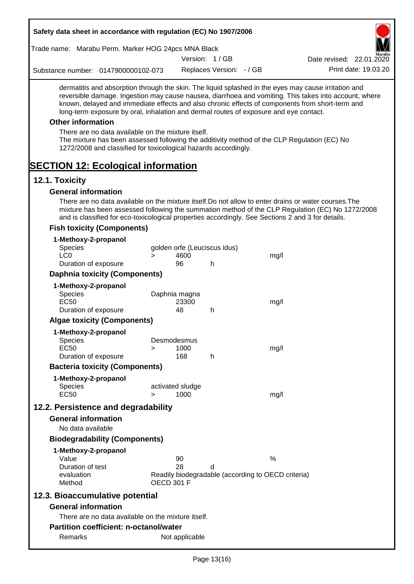| Safety data sheet in accordance with regulation (EC) No 1907/2006                                                                                                                                                                                                                                                                                                                                                                                                                                                                                    |                   |                              |                          |                                                    |                                                                                                       |
|------------------------------------------------------------------------------------------------------------------------------------------------------------------------------------------------------------------------------------------------------------------------------------------------------------------------------------------------------------------------------------------------------------------------------------------------------------------------------------------------------------------------------------------------------|-------------------|------------------------------|--------------------------|----------------------------------------------------|-------------------------------------------------------------------------------------------------------|
| Trade name: Marabu Perm. Marker HOG 24pcs MNA Black                                                                                                                                                                                                                                                                                                                                                                                                                                                                                                  |                   |                              |                          |                                                    |                                                                                                       |
|                                                                                                                                                                                                                                                                                                                                                                                                                                                                                                                                                      |                   |                              | Version: 1/GB            |                                                    | Date revised: 22.01.2020                                                                              |
| Substance number: 0147900000102-073                                                                                                                                                                                                                                                                                                                                                                                                                                                                                                                  |                   |                              | Replaces Version: - / GB |                                                    | Print date: 19.03.20                                                                                  |
| dermatitis and absorption through the skin. The liquid splashed in the eyes may cause irritation and<br>known, delayed and immediate effects and also chronic effects of components from short-term and<br>long-term exposure by oral, inhalation and dermal routes of exposure and eye contact.<br><b>Other information</b><br>There are no data available on the mixture itself.<br>The mixture has been assessed following the additivity method of the CLP Regulation (EC) No<br>1272/2008 and classified for toxicological hazards accordingly. |                   |                              |                          |                                                    | reversible damage. Ingestion may cause nausea, diarrhoea and vomiting. This takes into account, where |
| <b>SECTION 12: Ecological information</b>                                                                                                                                                                                                                                                                                                                                                                                                                                                                                                            |                   |                              |                          |                                                    |                                                                                                       |
| 12.1. Toxicity                                                                                                                                                                                                                                                                                                                                                                                                                                                                                                                                       |                   |                              |                          |                                                    |                                                                                                       |
| <b>General information</b><br>There are no data available on the mixture itself. Do not allow to enter drains or water courses. The<br>mixture has been assessed following the summation method of the CLP Regulation (EC) No 1272/2008<br>and is classified for eco-toxicological properties accordingly. See Sections 2 and 3 for details.                                                                                                                                                                                                         |                   |                              |                          |                                                    |                                                                                                       |
| <b>Fish toxicity (Components)</b>                                                                                                                                                                                                                                                                                                                                                                                                                                                                                                                    |                   |                              |                          |                                                    |                                                                                                       |
| 1-Methoxy-2-propanol<br>Species                                                                                                                                                                                                                                                                                                                                                                                                                                                                                                                      |                   | golden orfe (Leuciscus idus) |                          |                                                    |                                                                                                       |
| LC <sub>0</sub>                                                                                                                                                                                                                                                                                                                                                                                                                                                                                                                                      | $\geq$            | 4600                         |                          | mg/l                                               |                                                                                                       |
| Duration of exposure                                                                                                                                                                                                                                                                                                                                                                                                                                                                                                                                 |                   | 96                           | h                        |                                                    |                                                                                                       |
| <b>Daphnia toxicity (Components)</b>                                                                                                                                                                                                                                                                                                                                                                                                                                                                                                                 |                   |                              |                          |                                                    |                                                                                                       |
| 1-Methoxy-2-propanol                                                                                                                                                                                                                                                                                                                                                                                                                                                                                                                                 |                   |                              |                          |                                                    |                                                                                                       |
| Species                                                                                                                                                                                                                                                                                                                                                                                                                                                                                                                                              |                   | Daphnia magna                |                          |                                                    |                                                                                                       |
| <b>EC50</b><br>Duration of exposure                                                                                                                                                                                                                                                                                                                                                                                                                                                                                                                  |                   | 23300<br>48                  | h                        | mg/l                                               |                                                                                                       |
| <b>Algae toxicity (Components)</b>                                                                                                                                                                                                                                                                                                                                                                                                                                                                                                                   |                   |                              |                          |                                                    |                                                                                                       |
|                                                                                                                                                                                                                                                                                                                                                                                                                                                                                                                                                      |                   |                              |                          |                                                    |                                                                                                       |
| 1-Methoxy-2-propanol<br><b>Species</b>                                                                                                                                                                                                                                                                                                                                                                                                                                                                                                               |                   | Desmodesmus                  |                          |                                                    |                                                                                                       |
| <b>EC50</b>                                                                                                                                                                                                                                                                                                                                                                                                                                                                                                                                          | >                 | 1000                         |                          | mg/l                                               |                                                                                                       |
| Duration of exposure                                                                                                                                                                                                                                                                                                                                                                                                                                                                                                                                 |                   | 168                          | h                        |                                                    |                                                                                                       |
| <b>Bacteria toxicity (Components)</b>                                                                                                                                                                                                                                                                                                                                                                                                                                                                                                                |                   |                              |                          |                                                    |                                                                                                       |
| 1-Methoxy-2-propanol                                                                                                                                                                                                                                                                                                                                                                                                                                                                                                                                 |                   |                              |                          |                                                    |                                                                                                       |
| <b>Species</b>                                                                                                                                                                                                                                                                                                                                                                                                                                                                                                                                       |                   | activated sludge             |                          |                                                    |                                                                                                       |
| <b>EC50</b>                                                                                                                                                                                                                                                                                                                                                                                                                                                                                                                                          | $\geq$            | 1000                         |                          | mg/l                                               |                                                                                                       |
| 12.2. Persistence and degradability                                                                                                                                                                                                                                                                                                                                                                                                                                                                                                                  |                   |                              |                          |                                                    |                                                                                                       |
| <b>General information</b>                                                                                                                                                                                                                                                                                                                                                                                                                                                                                                                           |                   |                              |                          |                                                    |                                                                                                       |
| No data available                                                                                                                                                                                                                                                                                                                                                                                                                                                                                                                                    |                   |                              |                          |                                                    |                                                                                                       |
| <b>Biodegradability (Components)</b>                                                                                                                                                                                                                                                                                                                                                                                                                                                                                                                 |                   |                              |                          |                                                    |                                                                                                       |
| 1-Methoxy-2-propanol                                                                                                                                                                                                                                                                                                                                                                                                                                                                                                                                 |                   |                              |                          |                                                    |                                                                                                       |
| Value                                                                                                                                                                                                                                                                                                                                                                                                                                                                                                                                                |                   | 90                           |                          | $\%$                                               |                                                                                                       |
| Duration of test                                                                                                                                                                                                                                                                                                                                                                                                                                                                                                                                     |                   | 28                           | d                        |                                                    |                                                                                                       |
| evaluation<br>Method                                                                                                                                                                                                                                                                                                                                                                                                                                                                                                                                 | <b>OECD 301 F</b> |                              |                          | Readily biodegradable (according to OECD criteria) |                                                                                                       |
| 12.3. Bioaccumulative potential                                                                                                                                                                                                                                                                                                                                                                                                                                                                                                                      |                   |                              |                          |                                                    |                                                                                                       |
| <b>General information</b>                                                                                                                                                                                                                                                                                                                                                                                                                                                                                                                           |                   |                              |                          |                                                    |                                                                                                       |
| There are no data available on the mixture itself.                                                                                                                                                                                                                                                                                                                                                                                                                                                                                                   |                   |                              |                          |                                                    |                                                                                                       |
| <b>Partition coefficient: n-octanol/water</b>                                                                                                                                                                                                                                                                                                                                                                                                                                                                                                        |                   |                              |                          |                                                    |                                                                                                       |
| Remarks                                                                                                                                                                                                                                                                                                                                                                                                                                                                                                                                              |                   | Not applicable               |                          |                                                    |                                                                                                       |
|                                                                                                                                                                                                                                                                                                                                                                                                                                                                                                                                                      |                   |                              |                          |                                                    |                                                                                                       |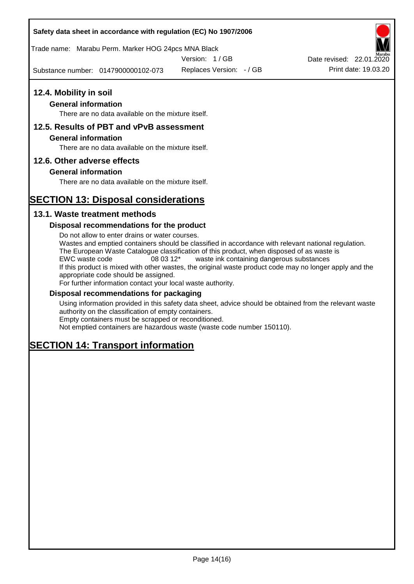Trade name: Marabu Perm. Marker HOG 24pcs MNA Black

Version: 1 / GB

Substance number: 0147900000102-073

Replaces Version: - / GB Print date: 19.03.20 Date revised: 22.01.2020

# **12.4. Mobility in soil**

# **General information**

There are no data available on the mixture itself.

# **12.5. Results of PBT and vPvB assessment**

### **General information**

There are no data available on the mixture itself.

# **12.6. Other adverse effects**

# **General information**

There are no data available on the mixture itself.

# **SECTION 13: Disposal considerations**

# **13.1. Waste treatment methods**

# **Disposal recommendations for the product**

Do not allow to enter drains or water courses. Wastes and emptied containers should be classified in accordance with relevant national regulation. The European Waste Catalogue classification of this product, when disposed of as waste is EWC waste code 08 03 12\* waste ink containing dangerous substances If this product is mixed with other wastes, the original waste product code may no longer apply and the appropriate code should be assigned. For further information contact your local waste authority.

# **Disposal recommendations for packaging**

Using information provided in this safety data sheet, advice should be obtained from the relevant waste authority on the classification of empty containers. Empty containers must be scrapped or reconditioned.

Not emptied containers are hazardous waste (waste code number 150110).

# **SECTION 14: Transport information**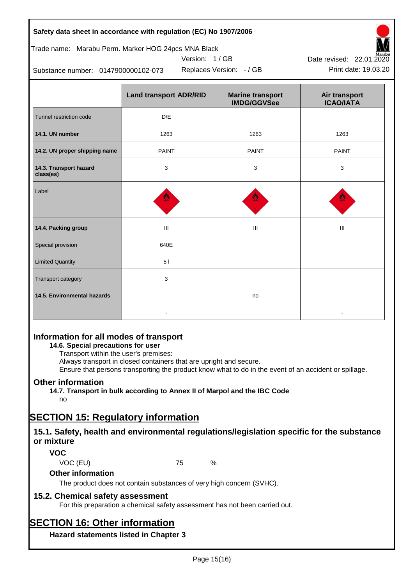| Safety data sheet in accordance with regulation (EC) No 1907/2006 |  |
|-------------------------------------------------------------------|--|
|-------------------------------------------------------------------|--|

# Trade name: Marabu Perm. Marker HOG 24pcs MNA Black

Version: 1 / GB



Substance number: 0147900000102-073

|                                     | <b>Land transport ADR/RID</b> | <b>Marine transport</b><br><b>IMDG/GGVSee</b> | Air transport<br><b>ICAO/IATA</b> |
|-------------------------------------|-------------------------------|-----------------------------------------------|-----------------------------------|
| Tunnel restriction code             | D/E                           |                                               |                                   |
| 14.1. UN number                     | 1263                          | 1263                                          | 1263                              |
| 14.2. UN proper shipping name       | <b>PAINT</b>                  | <b>PAINT</b>                                  | <b>PAINT</b>                      |
| 14.3. Transport hazard<br>class(es) | 3                             | 3                                             | 3                                 |
| Label                               |                               |                                               |                                   |
| 14.4. Packing group                 | III                           | Ш                                             | Ш                                 |
| Special provision                   | 640E                          |                                               |                                   |
| <b>Limited Quantity</b>             | 51                            |                                               |                                   |
| Transport category                  | 3                             |                                               |                                   |
| 14.5. Environmental hazards         |                               | no                                            |                                   |

# **Information for all modes of transport**

# **14.6. Special precautions for user**

Transport within the user's premises:

Always transport in closed containers that are upright and secure.

Ensure that persons transporting the product know what to do in the event of an accident or spillage.

# **Other information**

**14.7. Transport in bulk according to Annex II of Marpol and the IBC Code**

# no

# **SECTION 15: Regulatory information**

# **15.1. Safety, health and environmental regulations/legislation specific for the substance or mixture**

# **VOC**

VOC (EU) 75 %

# **Other information**

The product does not contain substances of very high concern (SVHC).

# **15.2. Chemical safety assessment**

For this preparation a chemical safety assessment has not been carried out.

# **SECTION 16: Other information**

**Hazard statements listed in Chapter 3**